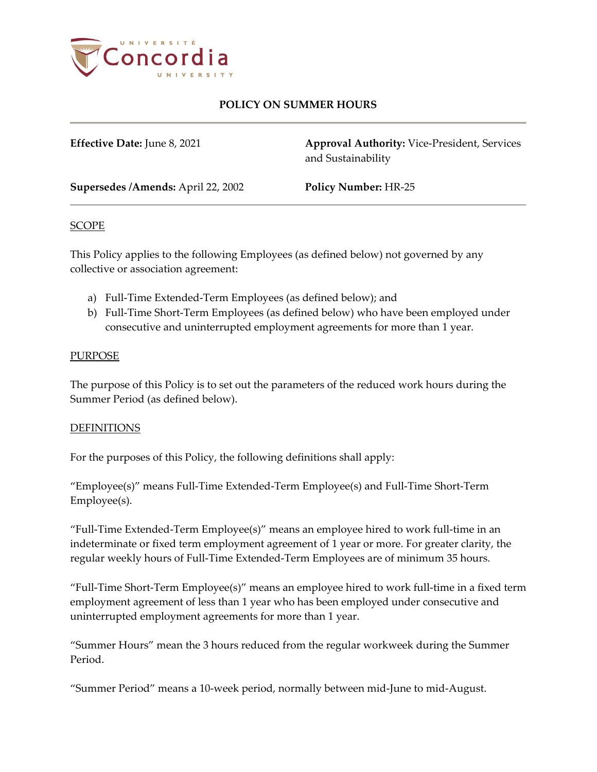

# **POLICY ON SUMMER HOURS**

**Effective Date:** June 8, 2021 **Approval Authority:** Vice-President, Services and Sustainability

**Supersedes /Amends:** April 22, 2002 **Policy Number:** HR-25

### SCOPE

This Policy applies to the following Employees (as defined below) not governed by any collective or association agreement:

- a) Full-Time Extended-Term Employees (as defined below); and
- b) Full-Time Short-Term Employees (as defined below) who have been employed under consecutive and uninterrupted employment agreements for more than 1 year.

#### PURPOSE

The purpose of this Policy is to set out the parameters of the reduced work hours during the Summer Period (as defined below).

### **DEFINITIONS**

For the purposes of this Policy, the following definitions shall apply:

"Employee(s)" means Full-Time Extended-Term Employee(s) and Full-Time Short-Term Employee(s).

"Full-Time Extended-Term Employee(s)" means an employee hired to work full-time in an indeterminate or fixed term employment agreement of 1 year or more. For greater clarity, the regular weekly hours of Full-Time Extended-Term Employees are of minimum 35 hours.

"Full-Time Short-Term Employee(s)" means an employee hired to work full-time in a fixed term employment agreement of less than 1 year who has been employed under consecutive and uninterrupted employment agreements for more than 1 year.

"Summer Hours" mean the 3 hours reduced from the regular workweek during the Summer Period.

"Summer Period" means a 10-week period, normally between mid-June to mid-August.